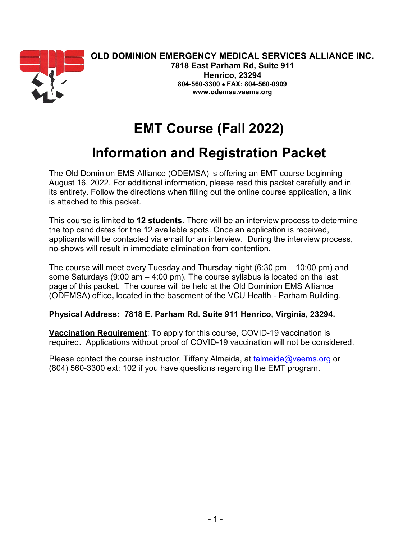

**804-560-3300** • **FAX: 804-560-0909 [www.odemsa.vaems.org](http://www.odemsa.vaems.org/)**

# **EMT Course (Fall 2022)**

## **Information and Registration Packet**

The Old Dominion EMS Alliance (ODEMSA) is offering an EMT course beginning August 16, 2022. For additional information, please read this packet carefully and in its entirety. Follow the directions when filling out the online course application, a link is attached to this packet.

This course is limited to **12 students**. There will be an interview process to determine the top candidates for the 12 available spots. Once an application is received, applicants will be contacted via email for an interview. During the interview process, no-shows will result in immediate elimination from contention.

The course will meet every Tuesday and Thursday night (6:30 pm – 10:00 pm) and some Saturdays (9:00 am – 4:00 pm). The course syllabus is located on the last page of this packet. The course will be held at the Old Dominion EMS Alliance (ODEMSA) office**,** located in the basement of the VCU Health - Parham Building.

### **Physical Address: 7818 E. Parham Rd. Suite 911 Henrico, Virginia, 23294.**

**Vaccination Requirement**: To apply for this course, COVID-19 vaccination is required. Applications without proof of COVID-19 vaccination will not be considered.

Please contact the course instructor, Tiffany Almeida, at [talmeida@vaems.org](mailto:talmeida@vaems.org) or (804) 560-3300 ext: 102 if you have questions regarding the EMT program.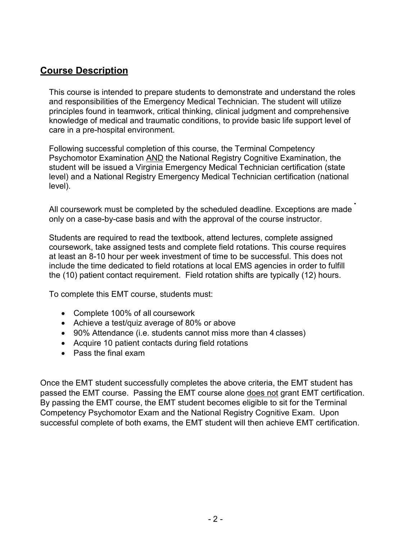## **Course Description**

This course is intended to prepare students to demonstrate and understand the roles and responsibilities of the Emergency Medical Technician. The student will utilize principles found in teamwork, critical thinking, clinical judgment and comprehensive knowledge of medical and traumatic conditions, to provide basic life support level of care in a pre-hospital environment.

Following successful completion of this course, the Terminal Competency Psychomotor Examination AND the National Registry Cognitive Examination, the student will be issued a Virginia Emergency Medical Technician certification (state level) and a National Registry Emergency Medical Technician certification (national level).

All coursework must be completed by the scheduled deadline. Exceptions are made only on a case-by-case basis and with the approval of the course instructor.

Students are required to read the textbook, attend lectures, complete assigned coursework, take assigned tests and complete field rotations. This course requires at least an 8-10 hour per week investment of time to be successful. This does not include the time dedicated to field rotations at local EMS agencies in order to fulfill the (10) patient contact requirement. Field rotation shifts are typically (12) hours.

To complete this EMT course, students must:

- Complete 100% of all coursework
- Achieve a test/quiz average of 80% or above
- 90% Attendance (i.e. students cannot miss more than 4 classes)
- Acquire 10 patient contacts during field rotations
- Pass the final exam

Once the EMT student successfully completes the above criteria, the EMT student has passed the EMT course. Passing the EMT course alone does not grant EMT certification. By passing the EMT course, the EMT student becomes eligible to sit for the Terminal Competency Psychomotor Exam and the National Registry Cognitive Exam. Upon successful complete of both exams, the EMT student will then achieve EMT certification.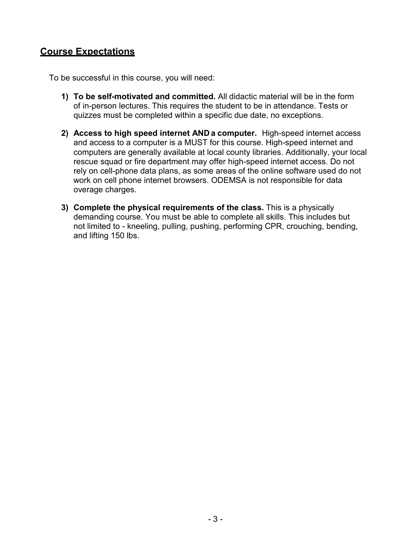## **Course Expectations**

To be successful in this course, you will need:

- **1) To be self-motivated and committed.** All didactic material will be in the form of in-person lectures. This requires the student to be in attendance. Tests or quizzes must be completed within a specific due date, no exceptions.
- **2) Access to high speed internet AND a computer.** High-speed internet access and access to a computer is a MUST for this course. High-speed internet and computers are generally available at local county libraries. Additionally, your local rescue squad or fire department may offer high-speed internet access. Do not rely on cell-phone data plans, as some areas of the online software used do not work on cell phone internet browsers. ODEMSA is not responsible for data overage charges.
- **3) Complete the physical requirements of the class.** This is a physically demanding course. You must be able to complete all skills. This includes but not limited to - kneeling, pulling, pushing, performing CPR, crouching, bending, and lifting 150 lbs.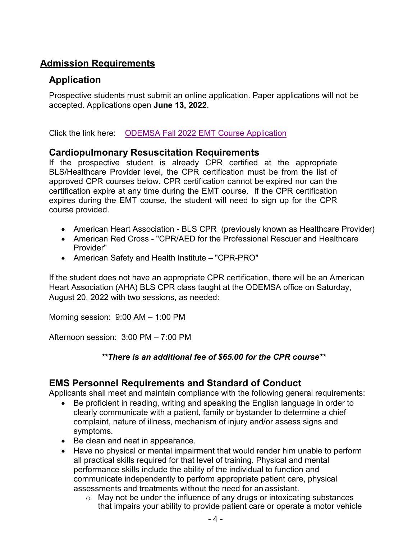## **Admission Requirements**

## **Application**

Prospective students must submit an online application. Paper applications will not be accepted. Applications open **June 13, 2022**.

Click the link here: [ODEMSA Fall 2022 EMT](https://form.jotform.com/221634234653149) Course Application

## **Cardiopulmonary Resuscitation Requirements**

If the prospective student is already CPR certified at the appropriate BLS/Healthcare Provider level, the CPR certification must be from the list of approved CPR courses below. CPR certification cannot be expired nor can the certification expire at any time during the EMT course. If the CPR certification expires during the EMT course, the student will need to sign up for the CPR course provided.

- American Heart Association BLS CPR (previously known as Healthcare Provider)
- American Red Cross "CPR/AED for the Professional Rescuer and Healthcare Provider"
- American Safety and Health Institute "CPR-PRO"

If the student does not have an appropriate CPR certification, there will be an American Heart Association (AHA) BLS CPR class taught at the ODEMSA office on Saturday, August 20, 2022 with two sessions, as needed:

Morning session: 9:00 AM – 1:00 PM

Afternoon session: 3:00 PM – 7:00 PM

### *\*\*There is an additional fee of \$65.00 for the CPR course\*\**

## **EMS Personnel Requirements and Standard of Conduct**

Applicants shall meet and maintain compliance with the following general requirements:

- Be proficient in reading, writing and speaking the English language in order to clearly communicate with a patient, family or bystander to determine a chief complaint, nature of illness, mechanism of injury and/or assess signs and symptoms.
- Be clean and neat in appearance.
- Have no physical or mental impairment that would render him unable to perform all practical skills required for that level of training. Physical and mental performance skills include the ability of the individual to function and communicate independently to perform appropriate patient care, physical assessments and treatments without the need for an assistant.
	- o May not be under the influence of any drugs or intoxicating substances that impairs your ability to provide patient care or operate a motor vehicle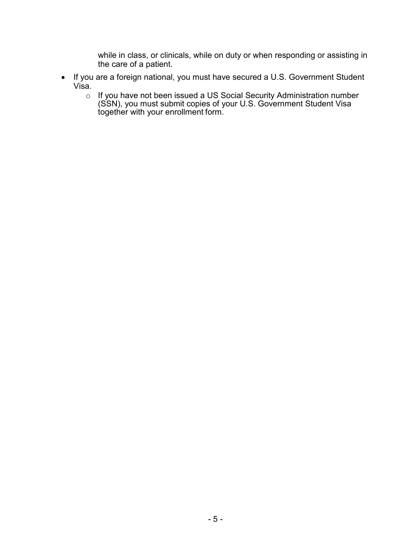while in class, or clinicals, while on duty or when responding or assisting in the care of a patient.

- If you are a foreign national, you must have secured a U.S. Government Student Visa.
	- o If you have not been issued a US Social Security Administration number (SSN), you must submit copies of your U.S. Government Student Visa together with your enrollment form.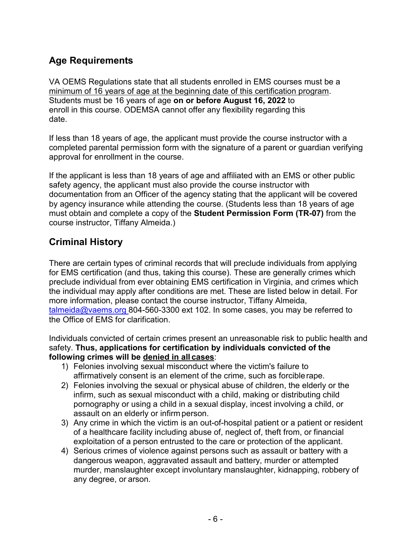## **Age Requirements**

VA OEMS Regulations state that all students enrolled in EMS courses must be a minimum of 16 years of age at the beginning date of this certification program. Students must be 16 years of age **on or before August 16, 2022** to enroll in this course. ODEMSA cannot offer any flexibility regarding this date.

If less than 18 years of age, the applicant must provide the course instructor with a completed parental permission form with the signature of a parent or guardian verifying approval for enrollment in the course.

If the applicant is less than 18 years of age and affiliated with an EMS or other public safety agency, the applicant must also provide the course instructor with documentation from an Officer of the agency stating that the applicant will be covered by agency insurance while attending the course. (Students less than 18 years of age must obtain and complete a copy of the **Student Permission Form (TR-07)** from the course instructor, Tiffany Almeida.)

## **Criminal History**

There are certain types of criminal records that will preclude individuals from applying for EMS certification (and thus, taking this course). These are generally crimes which preclude individual from ever obtaining EMS certification in Virginia, and crimes which the individual may apply after conditions are met. These are listed below in detail. For more information, please contact the course instructor, Tiffany Almeida, [talmeida@vaems.org 8](mailto:talmeida@vaems.org)04-560-3300 ext 102. In some cases, you may be referred to the Office of EMS for clarification.

Individuals convicted of certain crimes present an unreasonable risk to public health and safety. **Thus, applications for certification by individuals convicted of the following crimes will be denied in all cases**:

- 1) Felonies involving sexual misconduct where the victim's failure to affirmatively consent is an element of the crime, such as forciblerape.
- 2) Felonies involving the sexual or physical abuse of children, the elderly or the infirm, such as sexual misconduct with a child, making or distributing child pornography or using a child in a sexual display, incest involving a child, or assault on an elderly or infirm person.
- 3) Any crime in which the victim is an out-of-hospital patient or a patient or resident of a healthcare facility including abuse of, neglect of, theft from, or financial exploitation of a person entrusted to the care or protection of the applicant.
- 4) Serious crimes of violence against persons such as assault or battery with a dangerous weapon, aggravated assault and battery, murder or attempted murder, manslaughter except involuntary manslaughter, kidnapping, robbery of any degree, or arson.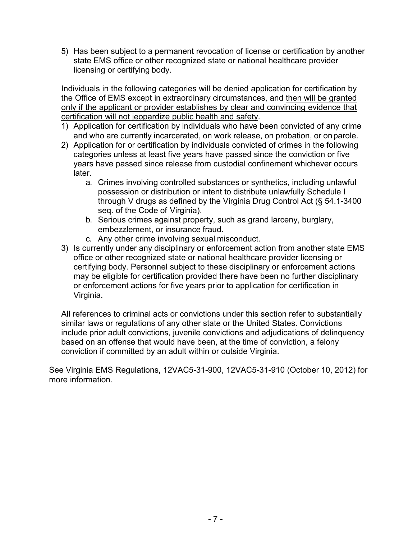5) Has been subject to a permanent revocation of license or certification by another state EMS office or other recognized state or national healthcare provider licensing or certifying body.

Individuals in the following categories will be denied application for certification by the Office of EMS except in extraordinary circumstances, and then will be granted only if the applicant or provider establishes by clear and convincing evidence that certification will not jeopardize public health and safety.

- 1) Application for certification by individuals who have been convicted of any crime and who are currently incarcerated, on work release, on probation, or onparole.
- 2) Application for or certification by individuals convicted of crimes in the following categories unless at least five years have passed since the conviction or five years have passed since release from custodial confinement whichever occurs later.
	- a. Crimes involving controlled substances or synthetics, including unlawful possession or distribution or intent to distribute unlawfully Schedule I through V drugs as defined by the Virginia Drug Control Act (§ 54.1-3400 seq. of the Code of Virginia).
	- b. Serious crimes against property, such as grand larceny, burglary, embezzlement, or insurance fraud.
	- c. Any other crime involving sexual misconduct.
- 3) Is currently under any disciplinary or enforcement action from another state EMS office or other recognized state or national healthcare provider licensing or certifying body. Personnel subject to these disciplinary or enforcement actions may be eligible for certification provided there have been no further disciplinary or enforcement actions for five years prior to application for certification in Virginia.

All references to criminal acts or convictions under this section refer to substantially similar laws or regulations of any other state or the United States. Convictions include prior adult convictions, juvenile convictions and adjudications of delinquency based on an offense that would have been, at the time of conviction, a felony conviction if committed by an adult within or outside Virginia.

See Virginia EMS Regulations, 12VAC5-31-900, 12VAC5-31-910 (October 10, 2012) for more information.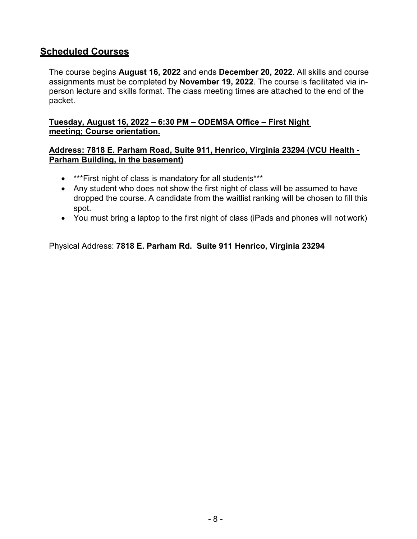## **Scheduled Courses**

The course begins **August 16, 2022** and ends **December 20, 2022**. All skills and course assignments must be completed by **November 19, 2022**. The course is facilitated via inperson lecture and skills format. The class meeting times are attached to the end of the packet.

#### **Tuesday, August 16, 2022 – 6:30 PM – ODEMSA Office – First Night meeting; Course orientation.**

#### **Address: 7818 E. Parham Road, Suite 911, Henrico, Virginia 23294 (VCU Health - Parham Building, in the basement)**

- \*\*\*First night of class is mandatory for all students\*\*\*
- Any student who does not show the first night of class will be assumed to have dropped the course. A candidate from the waitlist ranking will be chosen to fill this spot.
- You must bring a laptop to the first night of class (iPads and phones will not work)

Physical Address: **7818 E. Parham Rd. Suite 911 Henrico, Virginia 23294**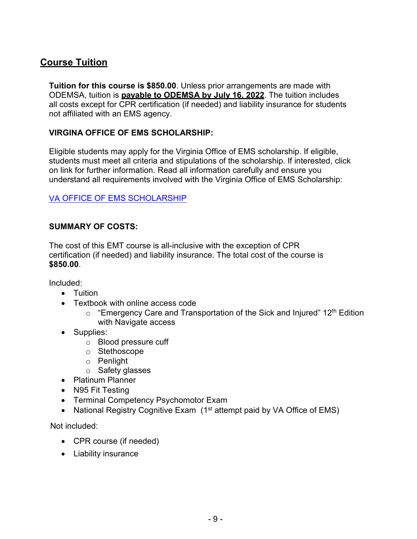## **Course Tuition**

**Tuition for this course is \$850.00**. Unless prior arrangements are made with ODEMSA, tuition is **payable to ODEMSA by July 16, 2022**. The tuition includes all costs except for CPR certification (if needed) and liability insurance for students not affiliated with an EMS agency.

#### **VIRGINA OFFICE OF EMS SCHOLARSHIP:**

Eligible students may apply for the Virginia Office of EMS scholarship. If eligible, students must meet all criteria and stipulations of the scholarship. If interested, click on link for further information. Read all information carefully and ensure you understand all requirements involved with the Virginia Office of EMS Scholarship:

### [VA OFFICE OF EMS SCHOLARSHIP](https://www.vdh.virginia.gov/emergency-medical-services/education-certification/ems-scholarship/)

#### **SUMMARY OF COSTS:**

The cost of this EMT course is all-inclusive with the exception of CPR certification (if needed) and liability insurance. The total cost of the course is **\$850.00**.

Included:

- Tuition
- Textbook with online access code
	- $\circ$  "Emergency Care and Transportation of the Sick and Injured" 12<sup>th</sup> Edition with Navigate access
- Supplies:
	- o Blood pressure cuff
	- o Stethoscope
	- o Penlight
	- o Safety glasses
- Platinum Planner
- N95 Fit Testing
- Terminal Competency Psychomotor Exam
- National Registry Cognitive Exam  $(1<sup>st</sup>$  attempt paid by VA Office of EMS)

Not included:

- CPR course (if needed)
- Liability insurance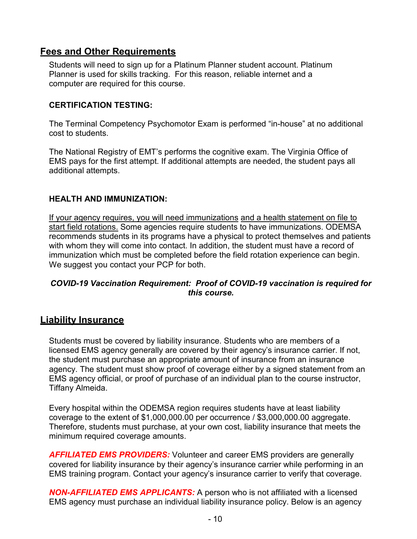## **Fees and Other Requirements**

Students will need to sign up for a Platinum Planner student account. Platinum Planner is used for skills tracking. For this reason, reliable internet and a computer are required for this course.

#### **CERTIFICATION TESTING:**

The Terminal Competency Psychomotor Exam is performed "in-house" at no additional cost to students.

The National Registry of EMT's performs the cognitive exam. The Virginia Office of EMS pays for the first attempt. If additional attempts are needed, the student pays all additional attempts.

#### **HEALTH AND IMMUNIZATION:**

If your agency requires, you will need immunizations and a health statement on file to start field rotations. Some agencies require students to have immunizations. ODEMSA recommends students in its programs have a physical to protect themselves and patients with whom they will come into contact. In addition, the student must have a record of immunization which must be completed before the field rotation experience can begin. We suggest you contact your PCP for both.

### *COVID-19 Vaccination Requirement: Proof of COVID-19 vaccination is required for this course.*

### **Liability Insurance**

Students must be covered by liability insurance. Students who are members of a licensed EMS agency generally are covered by their agency's insurance carrier. If not, the student must purchase an appropriate amount of insurance from an insurance agency. The student must show proof of coverage either by a signed statement from an EMS agency official, or proof of purchase of an individual plan to the course instructor, Tiffany Almeida.

Every hospital within the ODEMSA region requires students have at least liability coverage to the extent of \$1,000,000.00 per occurrence / \$3,000,000.00 aggregate. Therefore, students must purchase, at your own cost, liability insurance that meets the minimum required coverage amounts.

*AFFILIATED EMS PROVIDERS:* Volunteer and career EMS providers are generally covered for liability insurance by their agency's insurance carrier while performing in an EMS training program. Contact your agency's insurance carrier to verify that coverage.

*NON-AFFILIATED EMS APPLICANTS:* A person who is not affiliated with a licensed EMS agency must purchase an individual liability insurance policy. Below is an agency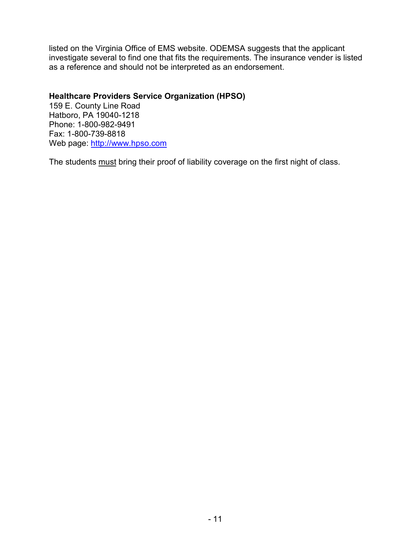listed on the Virginia Office of EMS website. ODEMSA suggests that the applicant investigate several to find one that fits the requirements. The insurance vender is listed as a reference and should not be interpreted as an endorsement.

#### **Healthcare Providers Service Organization (HPSO)**

159 E. County Line Road Hatboro, PA 19040-1218 Phone: 1-800-982-9491 Fax: 1-800-739-8818 Web page: [http://www.hpso.com](http://www.hpso.com/)

The students must bring their proof of liability coverage on the first night of class.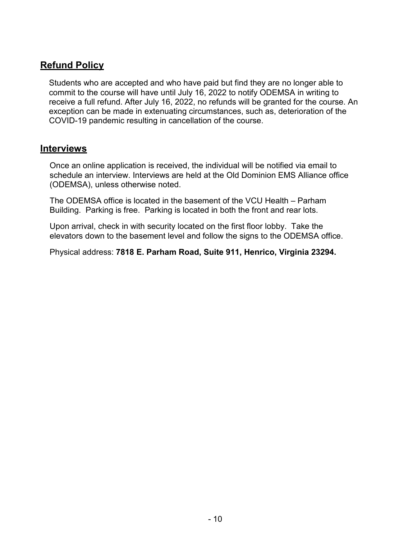## **Refund Policy**

Students who are accepted and who have paid but find they are no longer able to commit to the course will have until July 16, 2022 to notify ODEMSA in writing to receive a full refund. After July 16, 2022, no refunds will be granted for the course. An exception can be made in extenuating circumstances, such as, deterioration of the COVID-19 pandemic resulting in cancellation of the course.

## **Interviews**

Once an online application is received, the individual will be notified via email to schedule an interview. Interviews are held at the Old Dominion EMS Alliance office (ODEMSA), unless otherwise noted.

The ODEMSA office is located in the basement of the VCU Health – Parham Building. Parking is free. Parking is located in both the front and rear lots.

Upon arrival, check in with security located on the first floor lobby. Take the elevators down to the basement level and follow the signs to the ODEMSA office.

Physical address: **7818 E. Parham Road, Suite 911, Henrico, Virginia 23294.**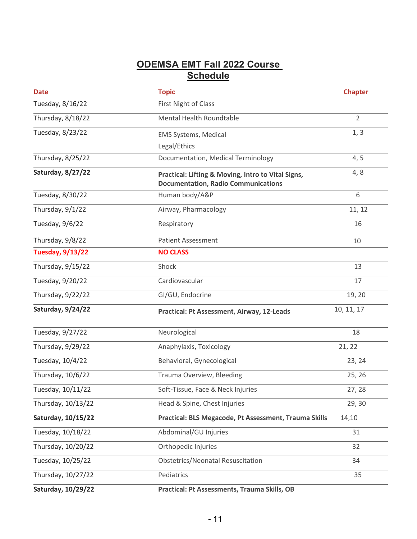## **ODEMSA EMT Fall 2022 Course Schedule**

| <b>Date</b>             | <b>Topic</b>                                                                                     | <b>Chapter</b> |
|-------------------------|--------------------------------------------------------------------------------------------------|----------------|
| Tuesday, 8/16/22        | First Night of Class                                                                             |                |
| Thursday, 8/18/22       | Mental Health Roundtable                                                                         | $\overline{2}$ |
| Tuesday, 8/23/22        | <b>EMS Systems, Medical</b>                                                                      | 1, 3           |
|                         | Legal/Ethics                                                                                     |                |
| Thursday, 8/25/22       | Documentation, Medical Terminology                                                               | 4, 5           |
| Saturday, 8/27/22       | Practical: Lifting & Moving, Intro to Vital Signs,<br><b>Documentation, Radio Communications</b> | 4, 8           |
| Tuesday, 8/30/22        | Human body/A&P                                                                                   | 6              |
| Thursday, 9/1/22        | Airway, Pharmacology                                                                             | 11, 12         |
| Tuesday, 9/6/22         | Respiratory                                                                                      | 16             |
| Thursday, 9/8/22        | <b>Patient Assessment</b>                                                                        | 10             |
| <b>Tuesday, 9/13/22</b> | <b>NO CLASS</b>                                                                                  |                |
| Thursday, 9/15/22       | Shock                                                                                            | 13             |
| Tuesday, 9/20/22        | Cardiovascular                                                                                   | 17             |
| Thursday, 9/22/22       | GI/GU, Endocrine                                                                                 | 19, 20         |
| Saturday, 9/24/22       | <b>Practical: Pt Assessment, Airway, 12-Leads</b>                                                | 10, 11, 17     |
| Tuesday, 9/27/22        | Neurological                                                                                     | 18             |
| Thursday, 9/29/22       | Anaphylaxis, Toxicology                                                                          | 21, 22         |
| Tuesday, 10/4/22        | Behavioral, Gynecological                                                                        | 23, 24         |
| Thursday, 10/6/22       | Trauma Overview, Bleeding                                                                        | 25, 26         |
| Tuesday, 10/11/22       | Soft-Tissue, Face & Neck Injuries                                                                | 27, 28         |
| Thursday, 10/13/22      | Head & Spine, Chest Injuries                                                                     | 29,30          |
| Saturday, 10/15/22      | Practical: BLS Megacode, Pt Assessment, Trauma Skills                                            | 14,10          |
| Tuesday, 10/18/22       | Abdominal/GU Injuries                                                                            | 31             |
| Thursday, 10/20/22      | Orthopedic Injuries                                                                              | 32             |
| Tuesday, 10/25/22       | <b>Obstetrics/Neonatal Resuscitation</b>                                                         | 34             |
| Thursday, 10/27/22      | Pediatrics                                                                                       | 35             |
| Saturday, 10/29/22      | Practical: Pt Assessments, Trauma Skills, OB                                                     |                |